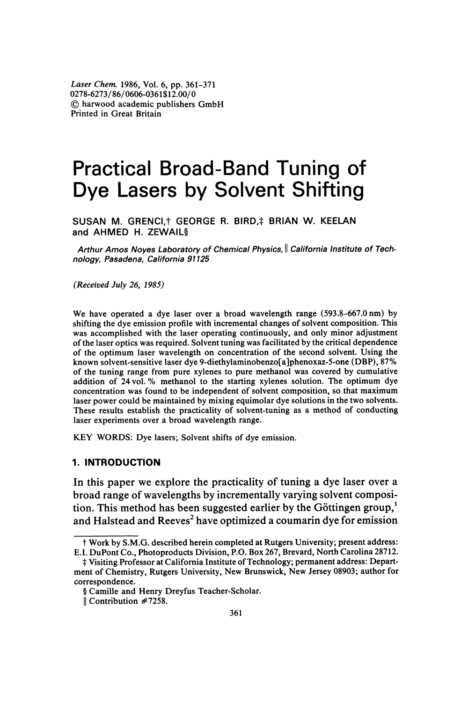Laser Chem. 1986, Vol. 6, pp. 361-371 0278-6273/86/0606-0361512.00/0 () harwood academic publishers GmbH Printed in Great Britain

# Practical Broad-Band Tuning of Dye Lasers by Solvent Shifting

SUSAN M. GRENCI,† GEORGE R. BIRD,‡ BRIAN W. KEELAN and AHMED H. ZEWAIL

Arthur Amos Noyes Laboratory of Chemical Physics, California Institute of Technology, Pasadena, California 91125

(Received July 26, 1985)

We have operated a dye laser over a broad wavelength range (593.8-667.0 nm) by shifting the dye emission profile with incremental changes of solvent composition. This was accomplished with the laser operating continuously, and only minor adjustment of the laser optics was required. Solvent tuning was facilitated by the critical dependence of the optimum laser wavelength on concentration of the second solvent. Using the known solvent-sensitive laser dye 9-diethylaminobenzo[a]phenoxaz-5-one (DBP), 87% of the tuning range from pure xylenes to pure methanol was covered by cumulative addition of <sup>24</sup> vol. % methanol to the starting xylenes solution. The optimum dye concentration was found to be independent of solvent composition, so that maximum laser power could be maintained by mixing equimolar dye solutions in the two solvents. These results establish the practicality of solvent-tuning as a method of conducting laser experiments over a broad wavelength range.

KEY WORDS: Dye lasers; Solvent shifts of dye emission.

#### 1. INTRODUCTION

In this paper we explore the practicality of tuning a dye laser over a broad range of wavelengths by incrementally varying solvent composition. This method has been suggested earlier by the Göttingen group, $<sup>1</sup>$ </sup> and Halstead and Reeves<sup>2</sup> have optimized a coumarin dye for emission

<sup>f</sup> Work by S.M.G. described herein completed at Rutgers University; present address: E.I. DuPont Co., Photoproducts Division, P.O. Box 267, Brevard, North Carolina 28712.

 $\ddagger$  Visiting Professor at California Institute of Technology; permanent address: Department of Chemistry, Rutgers University, New Brunswick, New Jersey 08903; author for correspondence.

Camille and Henry Dreyfus Teacher-Scholar.

Contribution #7258.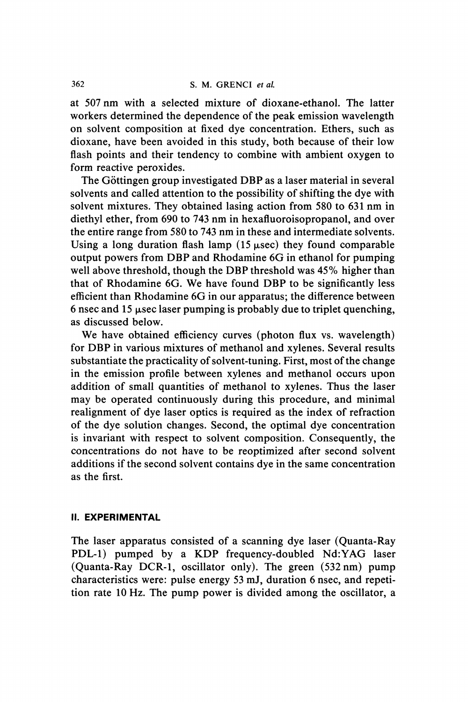at <sup>507</sup> nm with <sup>a</sup> selected mixture of dioxane-ethanol. The latter workers determined the dependence of the peak emission wavelength on solvent composition at fixed dye concentration. Ethers, such as dioxane, have been avoided in this study, both because of their low flash points and their tendency to combine with ambient oxygen to form reactive peroxides.

The Göttingen group investigated DBP as a laser material in several solvents and called attention to the possibility of shifting the dye with solvent mixtures. They obtained lasing action from 580 to <sup>631</sup> nm in diethyl ether, from 690 to 743 nm in hexafluoroisopropanol, and over the entire range from 580 to 743 nm in these and intermediate solvents. Using a long duration flash lamp  $(15 \mu \text{sec})$  they found comparable output powers from DBP and Rhodamine 6G in ethanol for pumping well above threshold, though the DBP threshold was 45% higher than that of Rhodamine 6G. We have found DBP to be significantly less efficient than Rhodamine 6G in our apparatus; the difference between 6 nsec and 15  $\mu$ sec laser pumping is probably due to triplet quenching, as discussed below.

We have obtained efficiency curves (photon flux vs. wavelength) for DBP in various mixtures of methanol and xylenes. Several results substantiate the practicality of solvent-tuning. First, most of the change in the emission profile between xylenes and methanol occurs upon addition of small quantities of methanol to xylenes. Thus the laser may be operated continuously during this procedure, and minimal realignment of dye laser optics is required as the index of refraction of the dye solution changes. Second, the optimal dye concentration is invariant with respect to solvent composition. Consequently, the concentrations do not have to be reoptimized after second solvent additions if the second solvent contains dye in the same concentration as the first.

## II. EXPERIMENTAL

The laser apparatus consisted of a scanning dye laser (Quanta-Ray PDL-1) pumped by <sup>a</sup> KDP frequency-doubled Nd:YAG laser (Quanta-Ray DCR-1, oscillator only). The green (532nm) pump characteristics were: pulse energy 53 mJ, duration 6 nsec, and repetition rate 10 Hz. The pump power is divided among the oscillator, a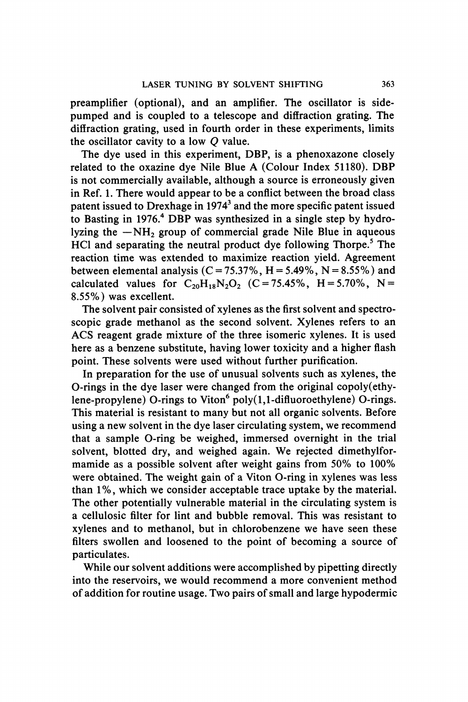preamplifier (optional), and an amplifier. The oscillator is sidepumped and is coupled to a telescope and diffraction grating. The diffraction grating, used in fourth order in these experiments, limits the oscillator cavity to <sup>a</sup> low Q value.

The dye used in this experiment, DBP, is a phenoxazone closely related to the oxazine dye Nile Blue A (Colour Index 51180). DBP is not commercially available, although a source is erroneously given in Ref. 1. There would appear to be a conflict between the broad class patent issued to Drexhage in 19743 and the more specific patent issued to Basting in 1976.<sup>4</sup> DBP was synthesized in a single step by hydrolyzing the  $-NH<sub>2</sub>$  group of commercial grade Nile Blue in aqueous HCl and separating the neutral product dye following Thorpe.<sup>5</sup> The reaction time was extended to maximize reaction yield. Agreement between elemental analysis ( $C = 75.37\%$ ,  $H = 5.49\%$ ,  $N = 8.55\%$ ) and calculated values for  $C_{20}H_{18}N_2O_2$  (C = 75.45%, H = 5.70%, N = 8.55%) was excellent.

The solvent pair consisted of xylenes as the first solvent and spectroscopic grade methanol as the second solvent. Xylenes refers to an ACS reagent grade mixture of the three isomeric xylenes. It is used here as a benzene substitute, having lower toxicity and a higher flash point. These solvents were used without further purification.

In preparation for the use of unusual solvents such as xylenes, the O-rings in the dye laser were changed from the original copoly(ethylene-propylene) O-rings to Viton<sup>6</sup> poly $(1,1$ -difluoroethylene) O-rings. This material is resistant to many but not all organic solvents. Before using a new solvent in the dye laser circulating system, we recommend that a sample O-ring be weighed, immersed overnight in the trial solvent, blotted dry, and weighed again. We rejected dimethylformamide as a possible solvent after weight gains from 50% to 100% were obtained. The weight gain of a Viton O-ring in xylenes was less than 1%, which we consider acceptable trace uptake by the material,, The other potentially vulnerable material in the circulating system is a cellulosic filter for lint and bubble removal. This was resistant to xylenes and to methanol, but in chlorobenzene we have seen these filters swollen and loosened to the point of becoming a source of particulates.

While our solvent additions were accomplished by pipetting directly into the reservoirs, we would recommend a more convenient method of addition for routine usage. Two pairs of small and large hypodermic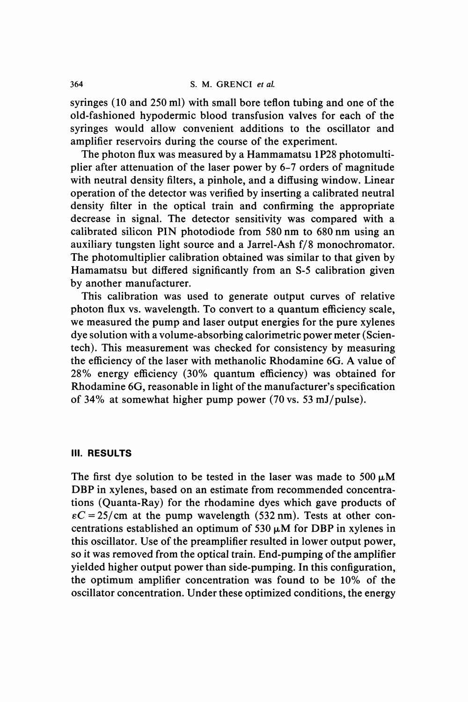syringes (10 and 250 ml) with small bore teflon tubing and one of the old-fashioned hypodermic blood transfusion valves for each of the syringes would allow convenient additions to the oscillator and amplifier reservoirs during the course of the experiment.

The photon flux was measured by a Hammamatsu 1P28 photomultiplier after attenuation of the laser power by 6-7 orders of magnitude with neutral density filters, a pinhole, and a diffusing window. Linear operation of the detector was verified by inserting a calibrated neutral density filter in the optical train and confirming the appropriate decrease in signal. The detector sensitivity was compared with a calibrated silicon PIN photodiode from 580 nm to 680 nm using an auxiliary tungsten light source and a Jarrel-Ash f/8 monochromator. The photomultiplier calibration obtained was similar to that given by Hamamatsu but differed significantly from an S-5 calibration given by another manufacturer.

This calibration was used to generate output curves of relative photon flux vs. wavelength. To convert to a quantum efficiency scale, we measured the pump and laser output energies for the pure xylenes dye solution with a volume-absorbing calorimetric power meter (Scientech). This measurement was checked for consistency by measuring the efficiency of the laser with methanolic Rhodamine 6G. A value of 28% energy efficiency (30% quantum efficiency) was obtained for Rhodamine 6G, reasonable in light of the manufacturer's specification of 34% at somewhat higher pump power (70 vs. 53 mJ/pulse).

#### III. RESULTS

The first dye solution to be tested in the laser was made to 500  $\mu$ M DBP in xylenes, based on an estimate from recommended concentrations (Quanta-Ray) for the rhodamine dyes which gave products of  $\epsilon C = 25$ /cm at the pump wavelength (532 nm). Tests at other concentrations established an optimum of 530  $\mu$ M for DBP in xylenes in this oscillator. Use of the preamplifier resulted in lower output power, so it was removed from the optical train. End-pumping of the amplifier yielded higher output power than side-pumping. In this configuration, the optimum amplifier concentration was found to be 10% of the oscillator concentration. Under these optimized conditions, the energy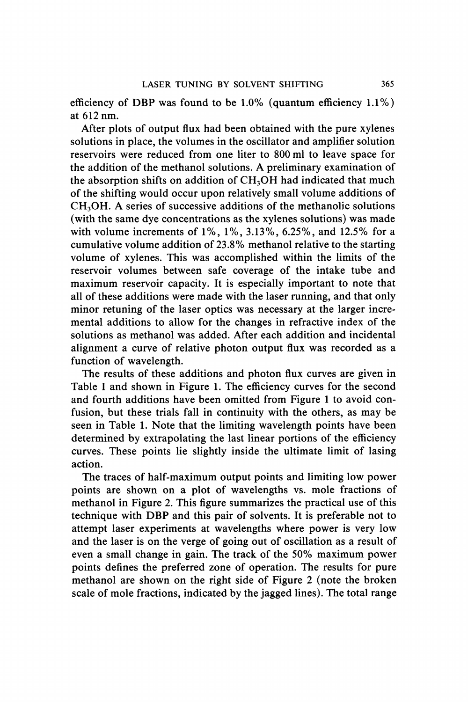efficiency of DBP was found to be 1.0% (quantum efficiency 1.1%) at 612 nm.

After plots of output flux had been obtained with the pure xylenes solutions in place, the volumes in the oscillator and amplifier solution reservoirs were reduced from one liter to 800 ml to leave space for the addition of the methanol solutions. A preliminary examination of the absorption shifts on addition of CH<sub>3</sub>OH had indicated that much of the shifting would occur upon relatively small volume additions of CH<sub>3</sub>OH. A series of successive additions of the methanolic solutions (with the same dye concentrations as the xylenes solutions) was made with volume increments of 1%, 1%, 3.13%, 6.25%, and 12.5% for a cumulative volume addition of 23.8% methanol relative to the starting volume of xylenes. This was accomplished within the limits of the reservoir volumes between safe coverage of the intake tube and maximum reservoir capacity. It is especially important to note that all of these additions were made with the laser running, and that only minor retuning of the laser optics was necessary at the larger incremental additions to allow for the changes in refractive index of the solutions as methanol was added. After each addition and incidental alignment a curve of relative photon output flux was recorded as a function of wavelength.

The results of these additions and photon flux curves are given in Table <sup>I</sup> and shown in Figure 1. The efficiency curves for the second and fourth additions have been omitted from Figure <sup>1</sup> to avoid confusion, but these trials fall in continuity with the others, as may be seen in Table 1. Note that the limiting wavelength points have been determined by extrapolating the last linear portions of the efficiency curves. These points lie slightly inside the ultimate limit of lasing action.

The traces of half-maximum output points and limiting low power points are shown on a plot of wavelengths vs. mole fractions of methanol in Figure 2. This figure summarizes the practical use of this technique with DBP and this pair of solvents. It is preferable not to attempt laser experiments at wavelengths where power is very low and the laser is on the verge of going out of oscillation as a result of even a small change in gain. The track of the 50% maximum power points defines the preferred zone of operation. The results for pure methanol are shown on the right side of Figure 2 (note the broken scale of mole fractions, indicated by the jagged lines). The total range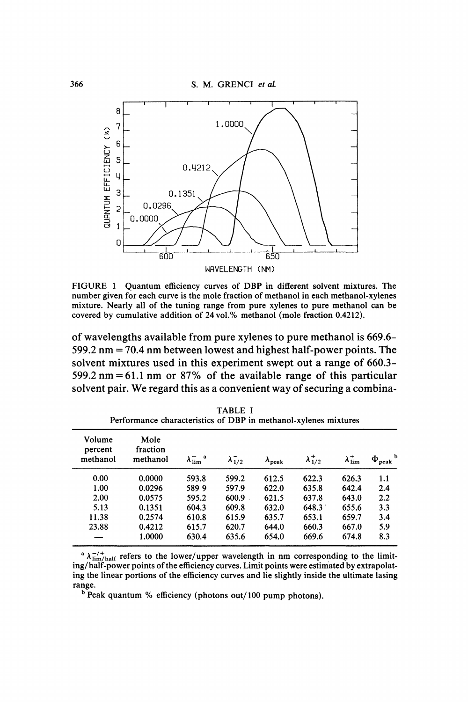366 S.M. GRENCI et al.



FIGURE 1 Quantum efficiency curves of DBP in different solvent mixtures. The number given for each curve is the mole fraction of methanol in each methanol-xylenes mixture. Nearly all of the tuning range from pure xylenes to pure methanol can be covered by cumulative addition of 24 vol.% methanol (mole fraction 0.4212).

of wavelengths available from pure xylenes to pure methanol is 669.6-  $599.2$  nm = 70.4 nm between lowest and highest half-power points. The solvent mixtures used in this experiment swept out a range of 660.3- 599.2 nm = 61.1 nm or 87% of the available range of this particular solvent pair. We regard this as <sup>a</sup> convenient way of securing <sup>a</sup> combina-

| Volume<br>percent<br>methanol | Mole<br>fraction<br>methanol | $\lambda_{\text{lim}}^-$ <sup>a</sup> | $\lambda_{1/2}^-$ | $\Lambda_{\rm peak}$ | $\lambda_{1/2}^+$ | $\lambda_{\text{lim}}^+$ | b<br>$\Phi_{\rm peak}$ |
|-------------------------------|------------------------------|---------------------------------------|-------------------|----------------------|-------------------|--------------------------|------------------------|
| 0.00                          | 0.0000                       | 593.8                                 | 599.2             | 612.5                | 622.3             | 626.3                    | 1.1                    |
| 1.00                          | 0.0296                       | 5899                                  | 597.9             | 622.0                | 635.8             | 642.4                    | 2.4                    |
| 2.00                          | 0.0575                       | 595.2                                 | 600.9             | 621.5                | 637.8             | 643.0                    | 2.2                    |
| 5.13                          | 0.1351                       | 604.3                                 | 609.8             | 632.0                | 648.3             | 655.6                    | 3.3                    |
| 11.38                         | 0.2574                       | 610.8                                 | 615.9             | 635.7                | 653.1             | 659.7                    | 3.4                    |
| 23.88                         | 0.4212                       | 615.7                                 | 620.7             | 644.0                | 660.3             | 667.0                    | 5.9                    |
|                               | 1.0000                       | 630.4                                 | 635.6             | 654.0                | 669.6             | 674.8                    | 8.3                    |

TABLE Performance characteristics of DBP in methanol-xylenes mixtures

 $\lambda_{\text{lim/half}}^{-/+}$  refers to the lower/upper wavelength in nm corresponding to the limiting/half-power points of the efficiency curves. Limit points were estimated by extrapolating the linear portions of the efficiency curves and lie slightly inside the ultimate lasing range.

<sup>b</sup> Peak quantum % efficiency (photons out/100 pump photons).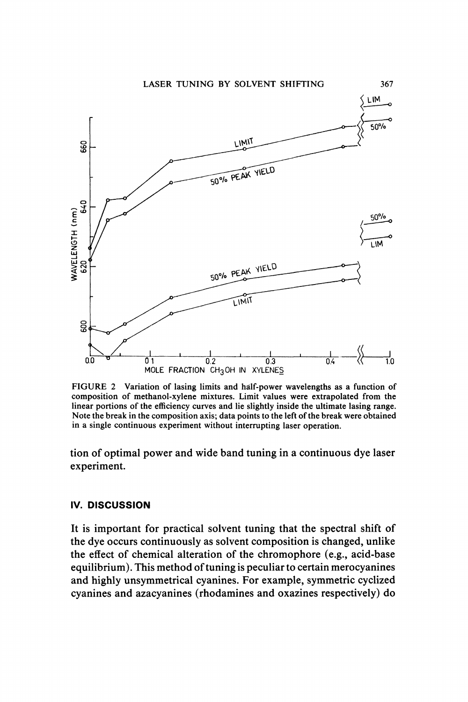

FIGURE 2 Variation of lasing limits and half-power wavelengths as a function of composition of methanol-xylene mixtures. Limit values were extrapolated from the linear portions of the efficiency curves and lie slightly inside the ultimate lasing range. Note the break in the composition axis; data points to the left of the break were obtained in a single continuous experiment without interrupting laser operation.

tion of optimal power and wide band tuning in a continuous dye laser experiment.

### IV. DISCUSSION

It is important for practical solvent tuning that the spectral shift of the dye occurs continuously as solvent composition is changed, unlike the effect of chemical alteration of the chromophore (e.g., acid-base equilibrium). This method of tuning is peculiar to certain merocyanines and highly unsymmetrical cyanines. For example, symmetric cyclized cyanines and azacyanines (rhodamines and oxazines respectively) do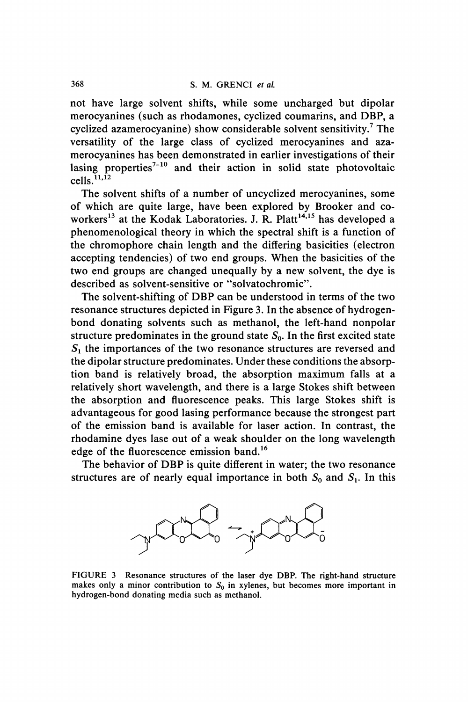not have large solvent shifts, while some uncharged but dipolar merocyanines (such as rhodamones, cyclized coumarins, and DBP, a cyclized azamerocyanine) show considerable solvent sensitivity.<sup>7</sup> The versatility of the large class of cyclized merocyanines and azamerocyanines has been demonstrated in earlier investigations of their lasing properties<sup> $7-10$ </sup> and their action in solid state photovoltaic cells. $11,12$ 

The solvent shifts of a number of uncyclized merocyanines, some of which are quite large, have been explored by Brooker and coworkers<sup>13</sup> at the Kodak Laboratories. J. R. Platt<sup>14,15</sup> has developed a phenomenological theory in which the spectral shift is a function of the chromophore chain length and the differing basicities (electron accepting tendencies) of two end groups. When the basicities of the two end groups are changed unequally by a new solvent, the dye is described as solvent-sensitive or "solvatochromic".

The solvent-shifting of DBP can be understood in terms of the two resonance structures depicted in Figure 3. In the absence of hydrogenbond donating solvents such as methanol, the left-hand nonpolar structure predominates in the ground state  $S_0$ . In the first excited state  $S<sub>1</sub>$  the importances of the two resonance structures are reversed and the dipolar structure predominates. Under these conditions the absorption band is relatively broad, the absorption maximum falls at a relatively short wavelength, and there is a large Stokes shift between the absorption and fluorescence peaks. This large Stokes shift is advantageous for good lasing performance because the strongest part of the emission band is available for laser action. In contrast, the rhodamine dyes lase out of a weak shoulder on the long wavelength edge of the fluorescence emission band.<sup>16</sup>

The behavior of DBP is quite different in water; the two resonance structures are of nearly equal importance in both  $S_0$  and  $S_1$ . In this



FIGURE <sup>3</sup> Resonance structures of the laser dye DBP. The right-hand structure makes only a minor contribution to  $S_0$  in xylenes, but becomes more important in hydrogen-bond donating media such as methanol.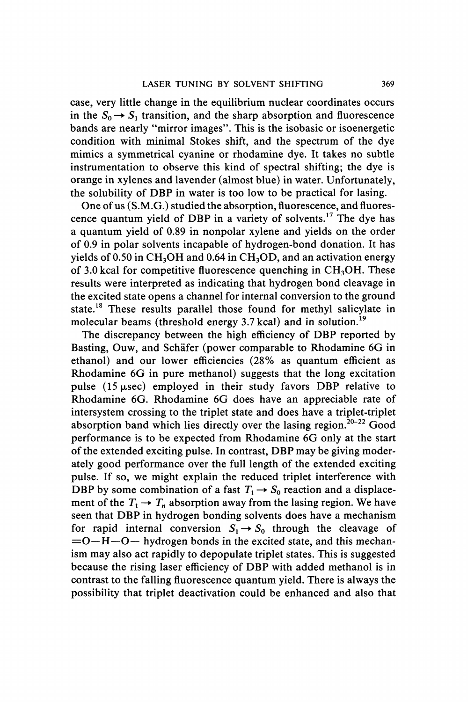case, very little change in the equilibrium nuclear coordinates occurs in the  $S_0 \rightarrow S_1$  transition, and the sharp absorption and fluorescence bands are nearly "mirror images". This is the isobasic or isoenergetic condition with minimal Stokes shift, and the spectrum of the dye mimics a symmetrical cyanine or rhodamine dye. It takes no subtle instrumentation to observe this kind of spectral shifting; the dye is orange in xylenes and lavender (almost blue) in water. Unfortunately, the solubility of DBP in water is too low to be practical for lasing.

One of us (S.M.G.) studied the absorption, fluorescence, and fluorescence quantum yield of DBP in a variety of solvents.<sup>17</sup> The dye has a quantum yield of 0.89 in nonpolar xylene and yields on the order of 0.9 in polar solvents incapable of hydrogen-bond donation. It has yields of 0.50 in CH<sub>3</sub>OH and 0.64 in CH<sub>3</sub>OD, and an activation energy of 3.0 kcal for competitive fluorescence quenching in  $CH<sub>3</sub>OH$ . These results were interpreted as indicating that hydrogen bond cleavage in the excited state opens a channel for internal conversion to the ground state.<sup>18</sup> These results parallel those found for methyl salicylate in molecular beams (threshold energy 3.7 kcal) and in solution.<sup>19</sup>

The discrepancy between the high efficiency of DBP reported by Basting, Ouw, and Schifer (power comparable to Rhodamine 6G in ethanol) and our lower efficiencies (28% as quantum efficient as Rhodamine 6G in pure methanol) suggests that the long excitation pulse  $(15 \mu \text{sec})$  employed in their study favors DBP relative to Rhodamine 6G. Rhodamine 6G does have an appreciable rate of intersystem crossing to the triplet state and does have a triplet-triplet absorption band which lies directly over the lasing region.<sup>20-22</sup> Good performance is to be expected from Rhodamine 6G only at the start of the extended exciting pulse. In contrast, DBP may be giving moderately good performance over the full length of the extended exciting pulse. If so, we might explain the reduced triplet interference with DBP by some combination of a fast  $T_1 \rightarrow S_0$  reaction and a displacement of the  $T_1 \rightarrow T_n$  absorption away from the lasing region. We have seen that DBP in hydrogen bonding solvents does have <sup>a</sup> mechanism for rapid internal conversion  $S_1 \rightarrow S_0$  through the cleavage of  $=O-H-O-$  hydrogen bonds in the excited state, and this mechanism may also act rapidly to depopulate triplet states. This is suggested because the rising laser efficiency of DBP with added methanol is in contrast to the falling fluorescence quantum yield. There is always the possibility that triplet deactivation could be enhanced and also that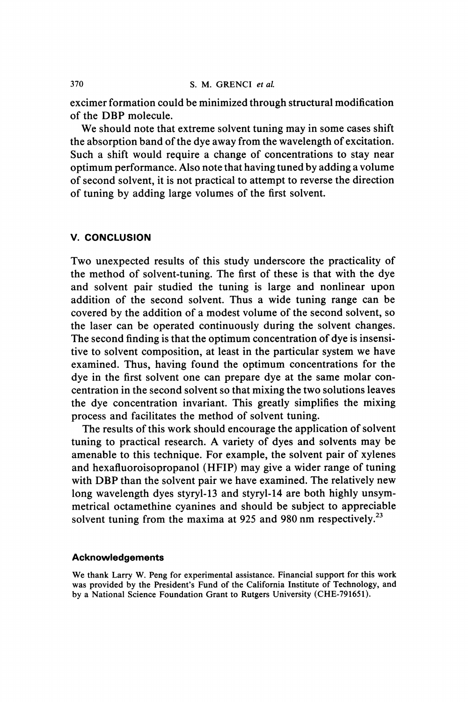excimer formation could be minimized through structural modification of the DBP molecule.

We should note that extreme solvent tuning may in some cases shift the absorption band of the dye away from the wavelength of excitation. Such a shift would require a change of concentrations to stay near optimum performance. Also note that having tuned by adding a volume of second solvent, it is not practical to attempt to reverse the direction of tuning by adding large volumes of the first solvent.

# V. CONCLUSION

Two unexpected results of this study underscore the practicality of the method of solvent-tuning. The first of these is that with the dye and solvent pair studied the tuning is large and nonlinear upon addition of the second solvent. Thus a wide tuning range can be covered by the addition of a modest volume of the second solvent, so the laser can be operated continuously during the solvent changes. The second finding is that the optimum concentration of dye is insensitive to solvent composition, at least in the particular system we have examined. Thus, having found the optimum concentrations for the dye in the first solvent one can prepare dye at the same molar concentration in the second solvent so that mixing the two solutions leaves the dye concentration invariant. This greatly simplifies the mixing process and facilitates the method of solvent tuning.

The results of this work should encourage the application of solvent tuning to practical research. A variety of dyes and solvents may be amenable to this technique. For example, the solvent pair of xylenes and hexafluoroisopropanol (HFIP) may give a wider range of tuning with DBP than the solvent pair we have examined. The relatively new long wavelength dyes styryl-13 and styryl-14 are both highly unsymmetrical octamethine cyanines and should be subject to appreciable solvent tuning from the maxima at 925 and 980 nm respectively.<sup>23</sup>

#### Acknowledgements

We thank Larry W. Peng for experimental assistance. Financial support for this work was provided by the President's Fund of the California Institute of Technology, and by a National Science Foundation Grant to Rutgers University (CHE-791651).